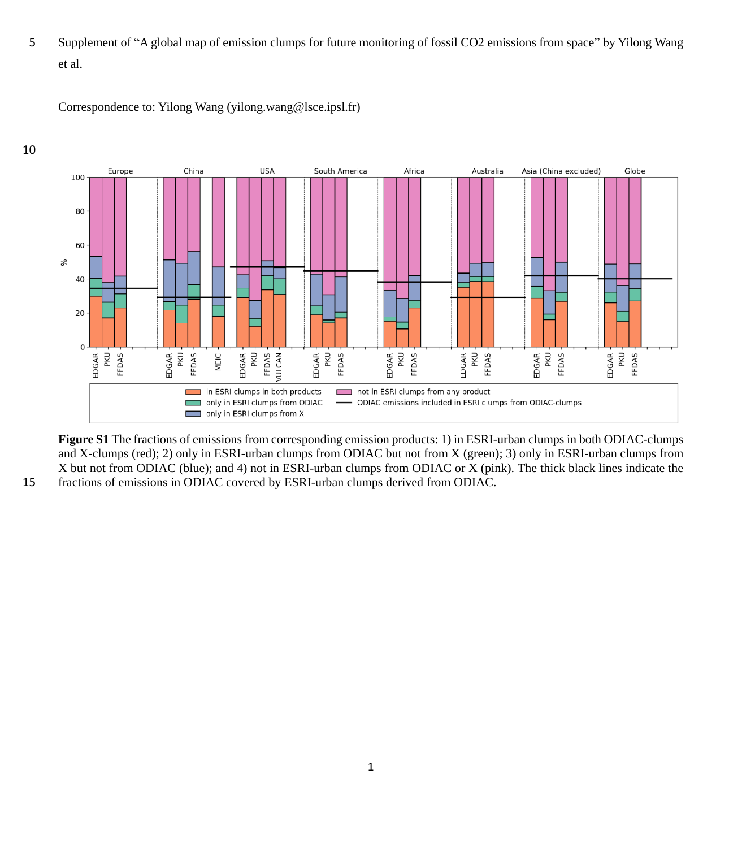5 Supplement of "A global map of emission clumps for future monitoring of fossil CO2 emissions from space" by Yilong Wang et al.





**Figure S1** The fractions of emissions from corresponding emission products: 1) in ESRI-urban clumps in both ODIAC-clumps and X-clumps (red); 2) only in ESRI-urban clumps from ODIAC but not from X (green); 3) only in ESRI-urban clumps from X but not from ODIAC (blue); and 4) not in ESRI-urban clumps from ODIAC or X (pink). The thick black lines indicate the 15 fractions of emissions in ODIAC covered by ESRI-urban clumps derived from ODIAC.

10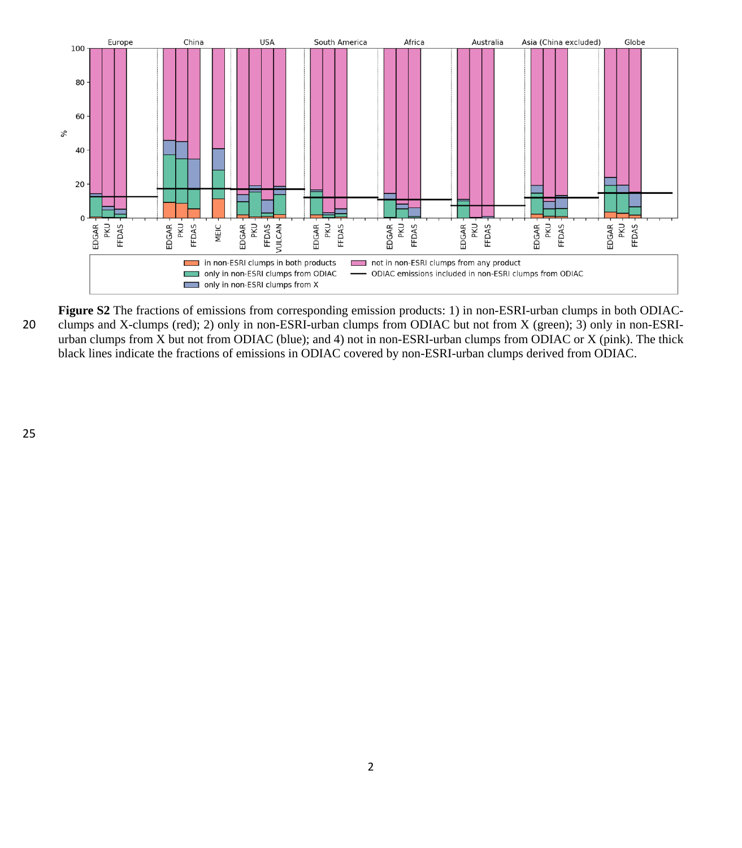

**Figure S2** The fractions of emissions from corresponding emission products: 1) in non-ESRI-urban clumps in both ODIAC-20 clumps and X-clumps (red); 2) only in non-ESRI-urban clumps from ODIAC but not from X (green); 3) only in non-ESRIurban clumps from X but not from ODIAC (blue); and 4) not in non-ESRI-urban clumps from ODIAC or X (pink). The thick black lines indicate the fractions of emissions in ODIAC covered by non-ESRI-urban clumps derived from ODIAC.